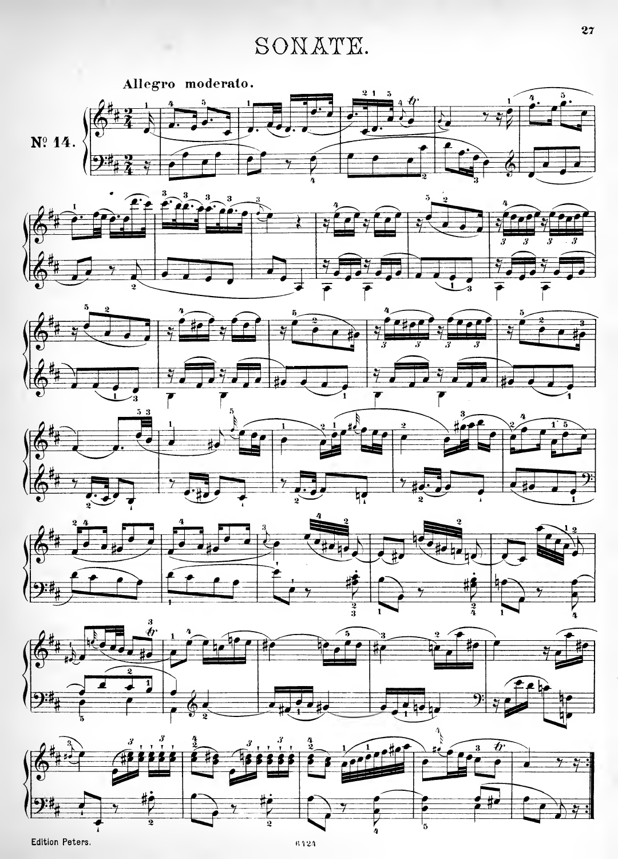## SONATE.















 $6424$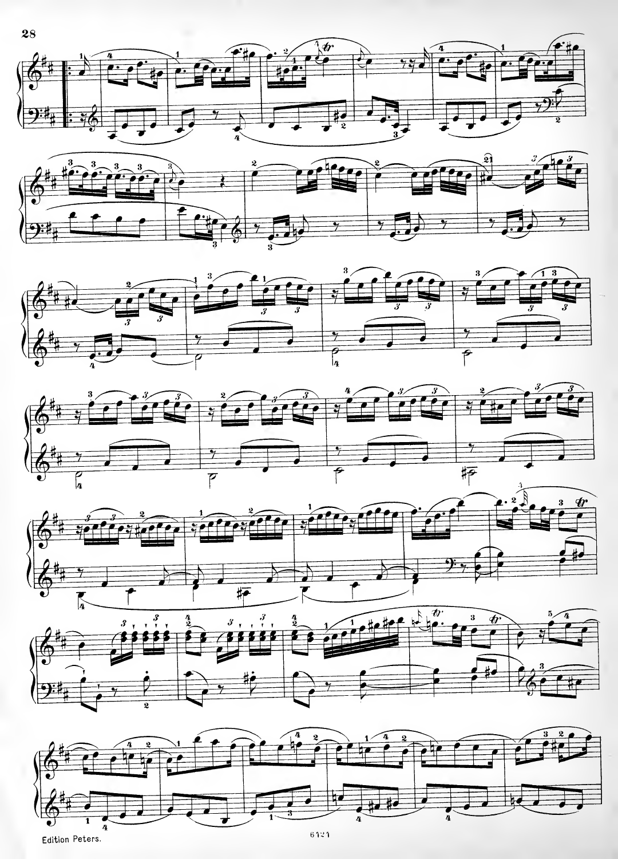











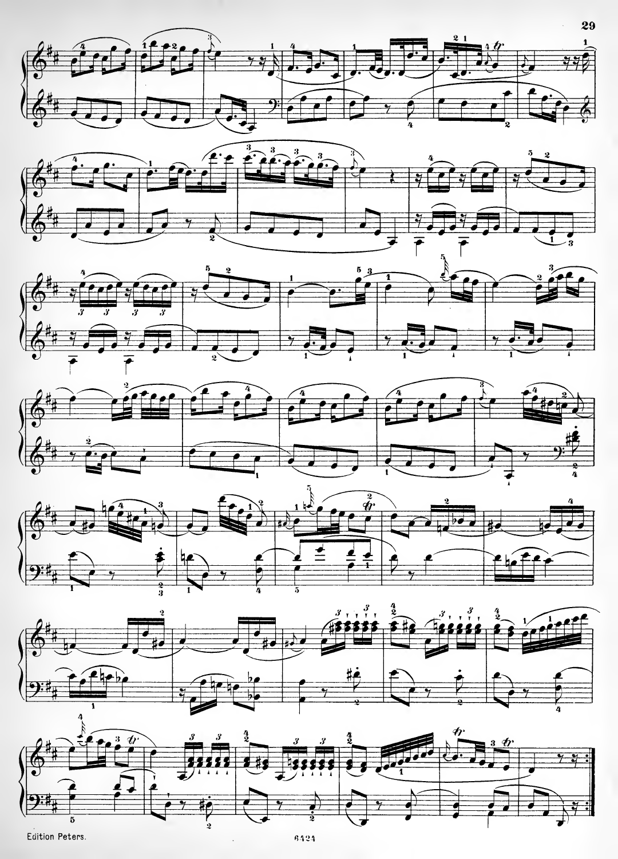











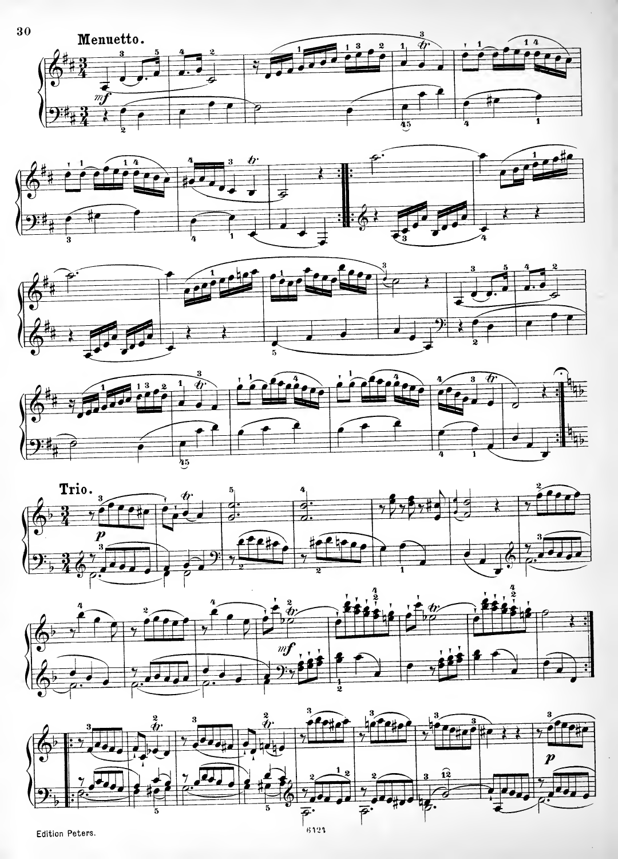











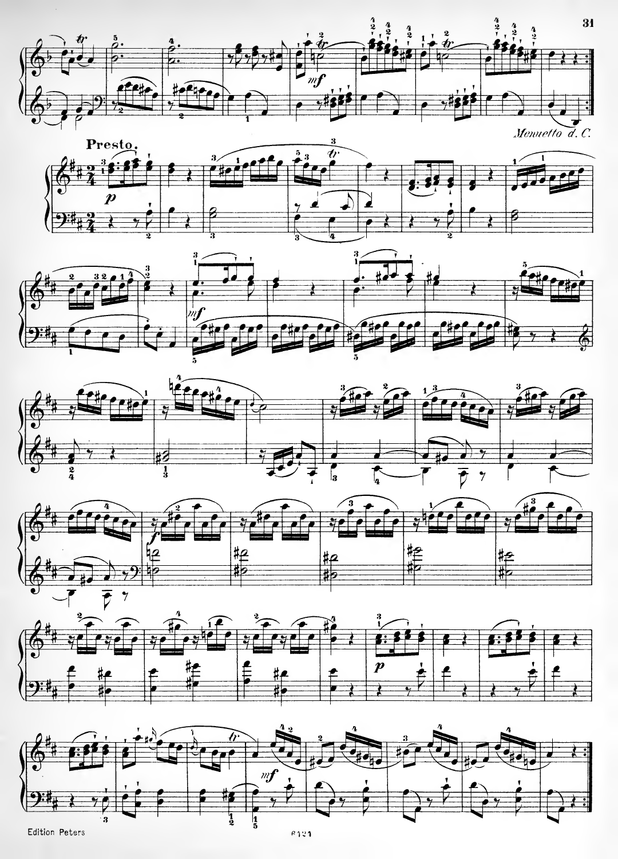











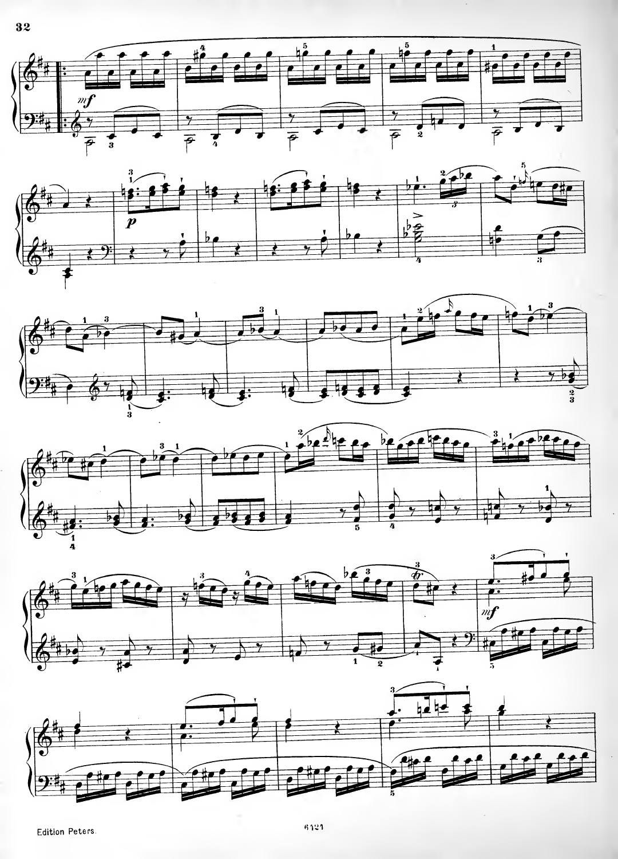